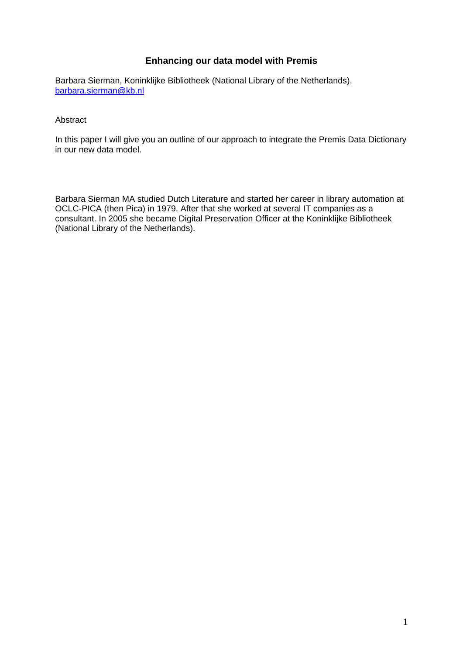# **Enhancing our data model with Premis**

Barbara Sierman, Koninklijke Bibliotheek (National Library of the Netherlands), barbara.sierman@kb.nl

Abstract

In this paper I will give you an outline of our approach to integrate the Premis Data Dictionary in our new data model.

Barbara Sierman MA studied Dutch Literature and started her career in library automation at OCLC-PICA (then Pica) in 1979. After that she worked at several IT companies as a consultant. In 2005 she became Digital Preservation Officer at the Koninklijke Bibliotheek (National Library of the Netherlands).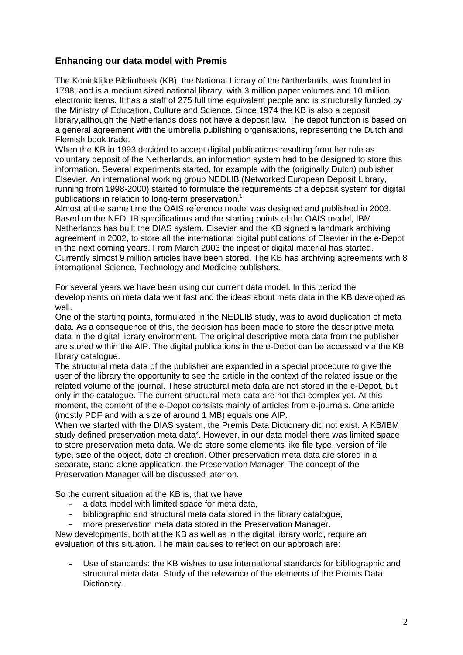# **Enhancing our data model with Premis**

The Koninklijke Bibliotheek (KB), the National Library of the Netherlands, was founded in 1798, and is a medium sized national library, with 3 million paper volumes and 10 million electronic items. It has a staff of 275 full time equivalent people and is structurally funded by the Ministry of Education, Culture and Science. Since 1974 the KB is also a deposit library,although the Netherlands does not have a deposit law. The depot function is based on a general agreement with the umbrella publishing organisations, representing the Dutch and Flemish book trade.

When the KB in 1993 decided to accept digital publications resulting from her role as voluntary deposit of the Netherlands, an information system had to be designed to store this information. Several experiments started, for example with the (originally Dutch) publisher Elsevier. An international working group NEDLIB (Networked European Deposit Library, running from 1998-2000) started to formulate the requirements of a deposit system for digital publications in relation to long-term preservation.<sup>1</sup>

Almost at the same time the OAIS reference model was designed and published in 2003. Based on the NEDLIB specifications and the starting points of the OAIS model, IBM Netherlands has built the DIAS system. Elsevier and the KB signed a landmark archiving agreement in 2002, to store all the international digital publications of Elsevier in the e-Depot in the next coming years. From March 2003 the ingest of digital material has started. Currently almost 9 million articles have been stored. The KB has archiving agreements with 8 international Science, Technology and Medicine publishers.

For several years we have been using our current data model. In this period the developments on meta data went fast and the ideas about meta data in the KB developed as well.

One of the starting points, formulated in the NEDLIB study, was to avoid duplication of meta data. As a consequence of this, the decision has been made to store the descriptive meta data in the digital library environment. The original descriptive meta data from the publisher are stored within the AIP. The digital publications in the e-Depot can be accessed via the KB library catalogue.

The structural meta data of the publisher are expanded in a special procedure to give the user of the library the opportunity to see the article in the context of the related issue or the related volume of the journal. These structural meta data are not stored in the e-Depot, but only in the catalogue. The current structural meta data are not that complex yet. At this moment, the content of the e-Depot consists mainly of articles from e-journals. One article (mostly PDF and with a size of around 1 MB) equals one AIP.

When we started with the DIAS system, the Premis Data Dictionary did not exist. A KB/IBM study defined preservation meta data<sup>2</sup>. However, in our data model there was limited space to store preservation meta data. We do store some elements like file type, version of file type, size of the object, date of creation. Other preservation meta data are stored in a separate, stand alone application, the Preservation Manager. The concept of the Preservation Manager will be discussed later on.

So the current situation at the KB is, that we have

- a data model with limited space for meta data,
- bibliographic and structural meta data stored in the library catalogue,
- more preservation meta data stored in the Preservation Manager.

New developments, both at the KB as well as in the digital library world, require an evaluation of this situation. The main causes to reflect on our approach are:

- Use of standards: the KB wishes to use international standards for bibliographic and structural meta data. Study of the relevance of the elements of the Premis Data Dictionary.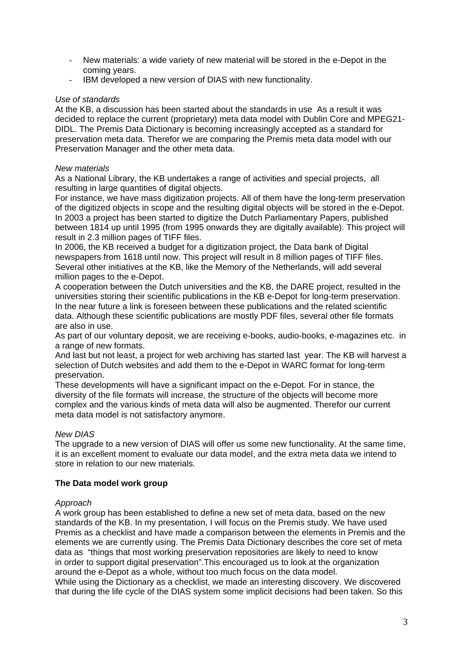- New materials: a wide variety of new material will be stored in the e-Depot in the coming years.
- IBM developed a new version of DIAS with new functionality.

## *Use of standards*

At the KB, a discussion has been started about the standards in use As a result it was decided to replace the current (proprietary) meta data model with Dublin Core and MPEG21- DIDL. The Premis Data Dictionary is becoming increasingly accepted as a standard for preservation meta data. Therefor we are comparing the Premis meta data model with our Preservation Manager and the other meta data.

## *New materials*

As a National Library, the KB undertakes a range of activities and special projects, all resulting in large quantities of digital objects.

For instance, we have mass digitization projects. All of them have the long-term preservation of the digitized objects in scope and the resulting digital objects will be stored in the e-Depot. In 2003 a project has been started to digitize the Dutch Parliamentary Papers, published between 1814 up until 1995 (from 1995 onwards they are digitally available). This project will result in 2.3 million pages of TIFF files.

In 2006, the KB received a budget for a digitization project, the Data bank of Digital newspapers from 1618 until now. This project will result in 8 million pages of TIFF files. Several other initiatives at the KB, like the Memory of the Netherlands, will add several million pages to the e-Depot.

A cooperation between the Dutch universities and the KB, the DARE project, resulted in the universities storing their scientific publications in the KB e-Depot for long-term preservation. In the near future a link is foreseen between these publications and the related scientific data. Although these scientific publications are mostly PDF files, several other file formats are also in use.

As part of our voluntary deposit, we are receiving e-books, audio-books, e-magazines etc. in a range of new formats.

And last but not least, a project for web archiving has started last year. The KB will harvest a selection of Dutch websites and add them to the e-Depot in WARC format for long-term preservation.

These developments will have a significant impact on the e-Depot. For in stance, the diversity of the file formats will increase, the structure of the objects will become more complex and the various kinds of meta data will also be augmented. Therefor our current meta data model is not satisfactory anymore.

# *New DIAS*

The upgrade to a new version of DIAS will offer us some new functionality. At the same time, it is an excellent moment to evaluate our data model, and the extra meta data we intend to store in relation to our new materials.

# **The Data model work group**

### *Approach*

A work group has been established to define a new set of meta data, based on the new standards of the KB. In my presentation, I will focus on the Premis study. We have used Premis as a checklist and have made a comparison between the elements in Premis and the elements we are currently using. The Premis Data Dictionary describes the core set of meta data as "things that most working preservation repositories are likely to need to know in order to support digital preservation".This encouraged us to look at the organization around the e-Depot as a whole, without too much focus on the data model. While using the Dictionary as a checklist, we made an interesting discovery. We discovered that during the life cycle of the DIAS system some implicit decisions had been taken. So this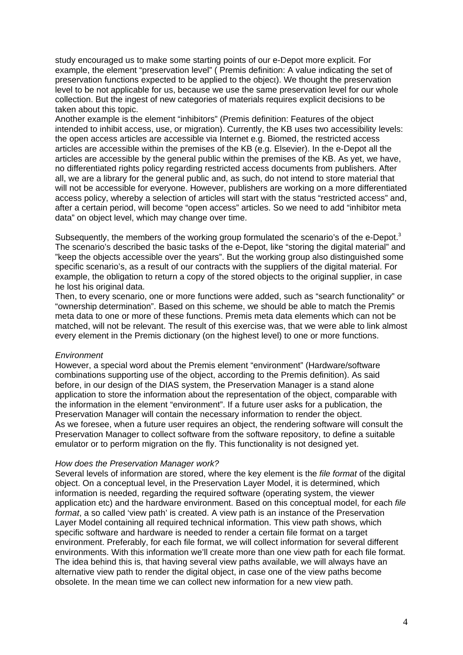study encouraged us to make some starting points of our e-Depot more explicit. For example, the element "preservation level" ( Premis definition: A value indicating the set of preservation functions expected to be applied to the object). We thought the preservation level to be not applicable for us, because we use the same preservation level for our whole collection. But the ingest of new categories of materials requires explicit decisions to be taken about this topic.

Another example is the element "inhibitors" (Premis definition: Features of the object intended to inhibit access, use, or migration). Currently, the KB uses two accessibility levels: the open access articles are accessible via Internet e.g. Biomed, the restricted access articles are accessible within the premises of the KB (e.g. Elsevier). In the e-Depot all the articles are accessible by the general public within the premises of the KB. As yet, we have, no differentiated rights policy regarding restricted access documents from publishers. After all, we are a library for the general public and, as such, do not intend to store material that will not be accessible for everyone. However, publishers are working on a more differentiated access policy, whereby a selection of articles will start with the status "restricted access" and, after a certain period, will become "open access" articles. So we need to add "inhibitor meta data" on object level, which may change over time.

Subsequently, the members of the working group formulated the scenario's of the e-Depot.<sup>3</sup> The scenario's described the basic tasks of the e-Depot, like "storing the digital material" and "keep the objects accessible over the years". But the working group also distinguished some specific scenario's, as a result of our contracts with the suppliers of the digital material. For example, the obligation to return a copy of the stored objects to the original supplier, in case he lost his original data.

Then, to every scenario, one or more functions were added, such as "search functionality" or "ownership determination". Based on this scheme, we should be able to match the Premis meta data to one or more of these functions. Premis meta data elements which can not be matched, will not be relevant. The result of this exercise was, that we were able to link almost every element in the Premis dictionary (on the highest level) to one or more functions.

#### *Environment*

However, a special word about the Premis element "environment" (Hardware/software combinations supporting use of the object, according to the Premis definition). As said before, in our design of the DIAS system, the Preservation Manager is a stand alone application to store the information about the representation of the object, comparable with the information in the element "environment". If a future user asks for a publication, the Preservation Manager will contain the necessary information to render the object. As we foresee, when a future user requires an object, the rendering software will consult the Preservation Manager to collect software from the software repository, to define a suitable emulator or to perform migration on the fly. This functionality is not designed yet.

#### *How does the Preservation Manager work?*

Several levels of information are stored, where the key element is the *file format* of the digital object. On a conceptual level, in the Preservation Layer Model, it is determined, which information is needed, regarding the required software (operating system, the viewer application etc) and the hardware environment. Based on this conceptual model, for each *file format*, a so called 'view path' is created. A view path is an instance of the Preservation Layer Model containing all required technical information. This view path shows, which specific software and hardware is needed to render a certain file format on a target environment. Preferably, for each file format, we will collect information for several different environments. With this information we'll create more than one view path for each file format. The idea behind this is, that having several view paths available, we will always have an alternative view path to render the digital object, in case one of the view paths become obsolete. In the mean time we can collect new information for a new view path.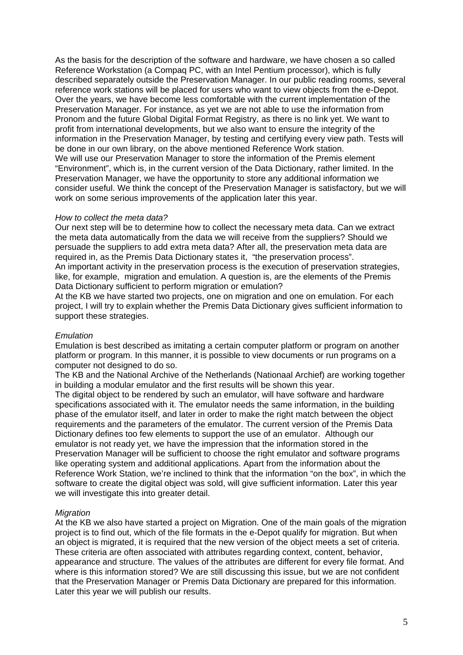As the basis for the description of the software and hardware, we have chosen a so called Reference Workstation (a Compaq PC, with an Intel Pentium processor), which is fully described separately outside the Preservation Manager. In our public reading rooms, several reference work stations will be placed for users who want to view objects from the e-Depot. Over the years, we have become less comfortable with the current implementation of the Preservation Manager. For instance, as yet we are not able to use the information from Pronom and the future Global Digital Format Registry, as there is no link yet. We want to profit from international developments, but we also want to ensure the integrity of the information in the Preservation Manager, by testing and certifying every view path. Tests will be done in our own library, on the above mentioned Reference Work station. We will use our Preservation Manager to store the information of the Premis element "Environment", which is, in the current version of the Data Dictionary, rather limited. In the Preservation Manager, we have the opportunity to store any additional information we consider useful. We think the concept of the Preservation Manager is satisfactory, but we will work on some serious improvements of the application later this year.

#### *How to collect the meta data?*

Our next step will be to determine how to collect the necessary meta data. Can we extract the meta data automatically from the data we will receive from the suppliers? Should we persuade the suppliers to add extra meta data? After all, the preservation meta data are required in, as the Premis Data Dictionary states it, "the preservation process". An important activity in the preservation process is the execution of preservation strategies, like, for example, migration and emulation. A question is, are the elements of the Premis Data Dictionary sufficient to perform migration or emulation?

At the KB we have started two projects, one on migration and one on emulation. For each project, I will try to explain whether the Premis Data Dictionary gives sufficient information to support these strategies.

### *Emulation*

Emulation is best described as imitating a certain computer platform or program on another platform or program. In this manner, it is possible to view documents or run programs on a computer not designed to do so.

The KB and the National Archive of the Netherlands (Nationaal Archief) are working together in building a modular emulator and the first results will be shown this year.

The digital object to be rendered by such an emulator, will have software and hardware specifications associated with it. The emulator needs the same information, in the building phase of the emulator itself, and later in order to make the right match between the object requirements and the parameters of the emulator. The current version of the Premis Data Dictionary defines too few elements to support the use of an emulator. Although our emulator is not ready yet, we have the impression that the information stored in the Preservation Manager will be sufficient to choose the right emulator and software programs like operating system and additional applications. Apart from the information about the Reference Work Station, we're inclined to think that the information "on the box", in which the software to create the digital object was sold, will give sufficient information. Later this year we will investigate this into greater detail.

### *Migration*

At the KB we also have started a project on Migration. One of the main goals of the migration project is to find out, which of the file formats in the e-Depot qualify for migration. But when an object is migrated, it is required that the new version of the object meets a set of criteria. These criteria are often associated with attributes regarding context, content, behavior, appearance and structure. The values of the attributes are different for every file format. And where is this information stored? We are still discussing this issue, but we are not confident that the Preservation Manager or Premis Data Dictionary are prepared for this information. Later this year we will publish our results.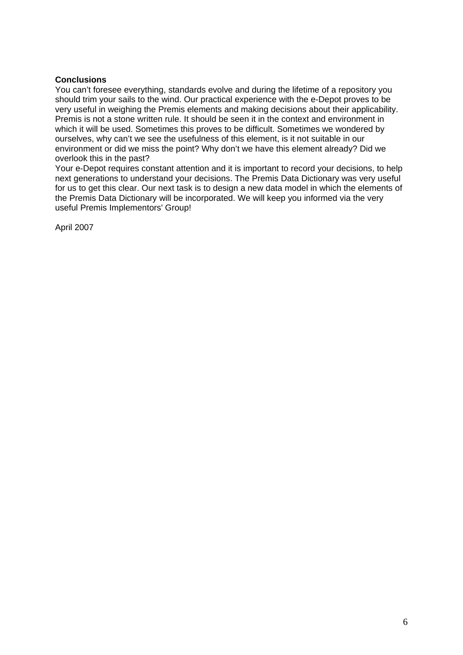## **Conclusions**

You can't foresee everything, standards evolve and during the lifetime of a repository you should trim your sails to the wind. Our practical experience with the e-Depot proves to be very useful in weighing the Premis elements and making decisions about their applicability. Premis is not a stone written rule. It should be seen it in the context and environment in which it will be used. Sometimes this proves to be difficult. Sometimes we wondered by ourselves, why can't we see the usefulness of this element, is it not suitable in our environment or did we miss the point? Why don't we have this element already? Did we overlook this in the past?

Your e-Depot requires constant attention and it is important to record your decisions, to help next generations to understand your decisions. The Premis Data Dictionary was very useful for us to get this clear. Our next task is to design a new data model in which the elements of the Premis Data Dictionary will be incorporated. We will keep you informed via the very useful Premis Implementors' Group!

April 2007